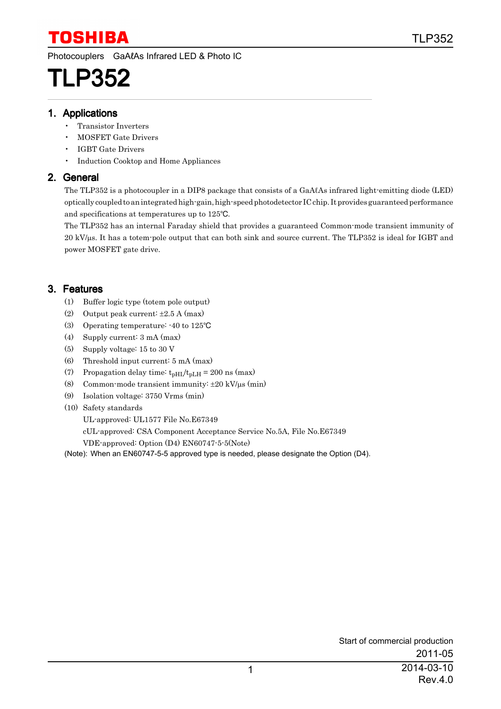Photocouplers GaAℓAs Infrared LED & Photo IC

# TLP352

#### 1. Applications

- Transistor Inverters
- MOSFET Gate Drivers
- IGBT Gate Drivers
- Induction Cooktop and Home Appliances

#### 2. General

The TLP352 is a photocoupler in a DIP8 package that consists of a GaAℓAs infrared light-emitting diode (LED) optically coupled to an integrated high-gain, high-speed photodetector IC chip. It provides guaranteed performance and specifications at temperatures up to  $125^{\circ}$ C.

The TLP352 has an internal Faraday shield that provides a guaranteed Common-mode transient immunity of 20 kV/µs. It has a totem-pole output that can both sink and source current. The TLP352 is ideal for IGBT and power MOSFET gate drive.

### 3. Features

- (1) Buffer logic type (totem pole output)
- (2) Output peak current:  $\pm 2.5$  A (max)
- (3) Operating temperature: -40 to 125°C
- (4) Supply current: 3 mA (max)
- (5) Supply voltage: 15 to 30 V
- (6) Threshold input current: 5 mA (max)
- (7) Propagation delay time:  $t_{pH L}/t_{pL H} = 200$  ns (max)
- (8) Common-mode transient immunity:  $\pm 20 \text{ kV/}\mu\text{s}$  (min)
- (9) Isolation voltage: 3750 Vrms (min)
- (10) Safety standards

UL-approved: UL1577 File No.E67349

cUL-approved: CSA Component Acceptance Service No.5A, File No.E67349

VDE-approved: Option (D4) EN60747-5-5(Note)

(Note): When an EN60747-5-5 approved type is needed, please designate the Option (D4).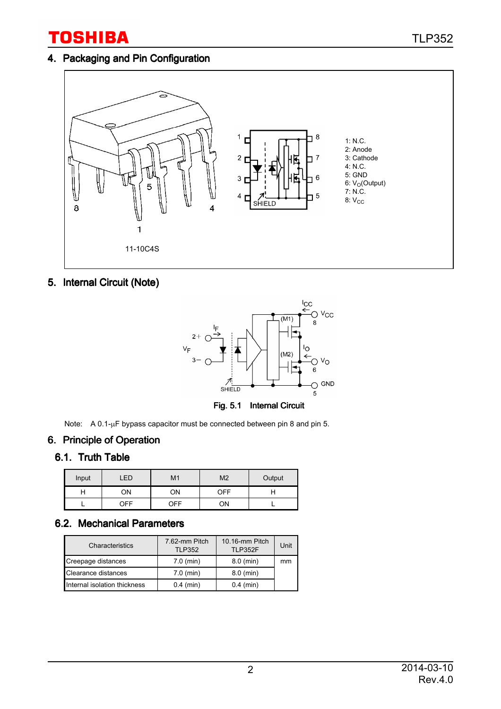### 4. Packaging and Pin Configuration



5. Internal Circuit (Note)



Note: A 0.1-µF bypass capacitor must be connected between pin 8 and pin 5.

#### 6. Principle of Operation

#### 6.1. Truth Table

| Input | ED         | M <sub>1</sub> | M <sub>2</sub> | Output |
|-------|------------|----------------|----------------|--------|
| H     | ОN         | OΝ             | OFF            |        |
|       | <b>OFF</b> | OFF            | ΟN             |        |

## 6.2. Mechanical Parameters

| Characteristics              | 7.62-mm Pitch<br><b>TLP352</b> | 10.16-mm Pitch<br><b>TLP352F</b> | Unit |
|------------------------------|--------------------------------|----------------------------------|------|
| Creepage distances           | $7.0$ (min)                    | $8.0$ (min)                      | mm   |
| Clearance distances          | $7.0$ (min)                    | $8.0$ (min)                      |      |
| Internal isolation thickness | $0.4$ (min)                    | $0.4$ (min)                      |      |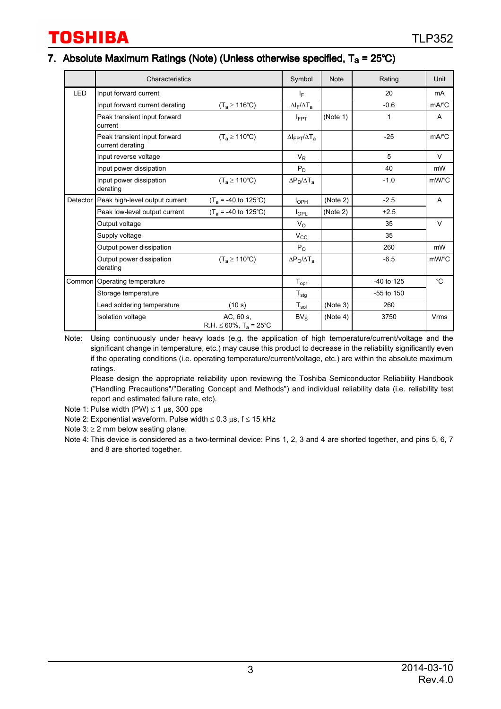#### 7. Absolute Maximum Ratings (Note) (Unless otherwise specified,  $T_a = 25^{\circ}C$ )

|            | Characteristics                                  |                                                     | Symbol                      | <b>Note</b> | Rating         | Unit                                 |
|------------|--------------------------------------------------|-----------------------------------------------------|-----------------------------|-------------|----------------|--------------------------------------|
| <b>LED</b> | Input forward current                            |                                                     | IF.                         |             | 20             | mA                                   |
|            | Input forward current derating                   | $(T_a \ge 116^{\circ}C)$                            | $\Delta I_F/\Delta T_a$     |             | $-0.6$         | $mA$ <sup>°</sup> C                  |
|            | Peak transient input forward<br>current          |                                                     | $I_{FPT}$                   | (Note 1)    | 1              | A                                    |
|            | Peak transient input forward<br>current derating | $(T_a \ge 110^{\circ}C)$                            | $\Delta$ IFPT $/\Delta T_A$ |             | $-25$          | $mA$ <sup>°</sup> C                  |
|            | Input reverse voltage                            |                                                     | $V_R$                       |             | 5              | $\vee$                               |
|            | Input power dissipation                          |                                                     | $P_D$                       |             | 40             | mW                                   |
|            | Input power dissipation<br>derating              | $(T_a \ge 110^{\circ}C)$                            | $\Delta P_D/\Delta T_a$     |             | $-1.0$         | $mW$ /°C                             |
| Detector   | Peak high-level output current                   | $(T_a = -40$ to 125°C)                              | I <sub>OPH</sub>            | (Note 2)    | $-2.5$         | A                                    |
|            | Peak low-level output current                    | $(T_a = -40$ to 125°C)                              | $I_{\text{OPL}}$            | (Note 2)    | $+2.5$         |                                      |
|            | Output voltage                                   |                                                     | $V_{\rm O}$                 |             | 35             | $\vee$                               |
|            | Supply voltage                                   |                                                     | $V_{\rm CC}$                |             | 35             |                                      |
|            | Output power dissipation                         |                                                     | $P_{O}$                     |             | 260            | mW                                   |
|            | Output power dissipation<br>derating             | $(T_a \ge 110^{\circ}C)$                            | $\Delta P_O / \Delta T_a$   |             | $-6.5$         | $mW$ <sup><math>\circ</math></sup> C |
|            | Common   Operating temperature                   |                                                     | $T_{\text{opr}}$            |             | -40 to 125     | °C                                   |
|            | Storage temperature                              |                                                     | $T_{\text{stg}}$            |             | $-55$ to $150$ |                                      |
|            | Lead soldering temperature                       | (10 s)                                              | $\mathsf{T}_{\mathsf{sol}}$ | (Note 3)    | 260            |                                      |
|            | <b>Isolation voltage</b>                         | AC, 60 s,<br>$R.H. \leq 60\%$ , $T_a = 25^{\circ}C$ | BV <sub>S</sub>             | (Note 4)    | 3750           | Vrms                                 |

Note: Using continuously under heavy loads (e.g. the application of high temperature/current/voltage and the significant change in temperature, etc.) may cause this product to decrease in the reliability significantly even if the operating conditions (i.e. operating temperature/current/voltage, etc.) are within the absolute maximum ratings.

Please design the appropriate reliability upon reviewing the Toshiba Semiconductor Reliability Handbook ("Handling Precautions"/"Derating Concept and Methods") and individual reliability data (i.e. reliability test report and estimated failure rate, etc).

Note 1: Pulse width (PW)  $\leq$  1  $\mu$ s, 300 pps

Note 2: Exponential waveform. Pulse width  $\leq 0.3$  µs, f  $\leq 15$  kHz

Note  $3: \geq 2$  mm below seating plane.

Note 4: This device is considered as a two-terminal device: Pins 1, 2, 3 and 4 are shorted together, and pins 5, 6, 7 and 8 are shorted together.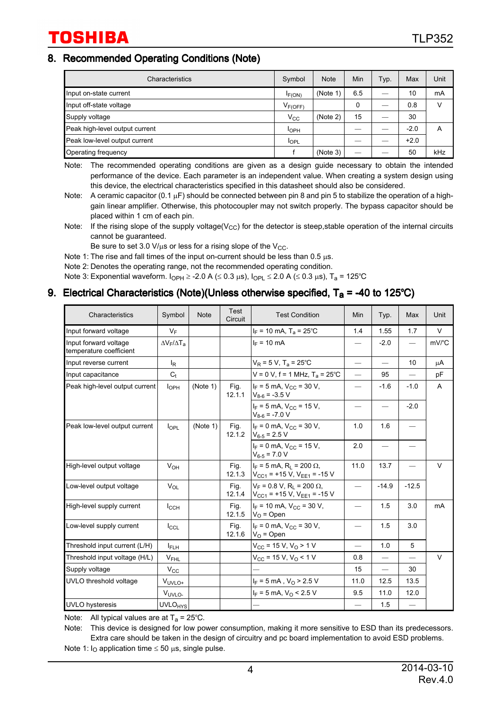#### 8. Recommended Operating Conditions (Note)

| Characteristics                | Symbol       | <b>Note</b> | Min | Typ. | Max    | Unit |
|--------------------------------|--------------|-------------|-----|------|--------|------|
| Input on-state current         | IF(ON)       | (Note 1     | 6.5 |      | 10     | mA   |
| Input off-state voltage        | $V_{F(OFF)}$ |             | 0   |      | 0.8    | V    |
| Supply voltage                 | $V_{\rm CC}$ | (Note 2)    | 15  |      | 30     |      |
| Peak high-level output current | <b>I</b> OPH |             |     |      | $-2.0$ | Α    |
| Peak low-level output current  | <b>IOPL</b>  |             |     |      | $+2.0$ |      |
| Operating frequency            |              | (Note 3)    |     |      | 50     | kHz  |

Note: The recommended operating conditions are given as a design guide necessary to obtain the intended performance of the device. Each parameter is an independent value. When creating a system design using this device, the electrical characteristics specified in this datasheet should also be considered.

Note: A ceramic capacitor (0.1  $\mu$ F) should be connected between pin 8 and pin 5 to stabilize the operation of a highgain linear amplifier. Otherwise, this photocoupler may not switch properly. The bypass capacitor should be placed within 1 cm of each pin.

Note: If the rising slope of the supply voltage( $V_{CC}$ ) for the detector is steep, stable operation of the internal circuits cannot be guaranteed.

Be sure to set 3.0  $V/\mu s$  or less for a rising slope of the  $V_{\text{CC}}$ .

Note 1: The rise and fall times of the input on-current should be less than  $0.5 \mu s$ .

Note 2: Denotes the operating range, not the recommended operating condition.

Note 3: Exponential waveform.  $I_{OPH} \ge 2.0$  A ( $\le 0.3$   $\mu$ s),  $I_{OPL} \le 2.0$  A ( $\le 0.3$   $\mu$ s), T<sub>a</sub> = 125°C

#### 9. Electrical Characteristics (Note)(Unless otherwise specified,  $T_a = -40$  to 125°C)

| Characteristics                                  | Symbol                    | <b>Note</b> | Test<br>Circuit | <b>Test Condition</b>                                                                                | Min                      | Typ.                           | Max     | Unit                                 |
|--------------------------------------------------|---------------------------|-------------|-----------------|------------------------------------------------------------------------------------------------------|--------------------------|--------------------------------|---------|--------------------------------------|
| Input forward voltage                            | $V_F$                     |             |                 | $I_F$ = 10 mA, T <sub>a</sub> = 25°C                                                                 | 1.4                      | 1.55                           | 1.7     | $\vee$                               |
| Input forward voltage<br>temperature coefficient | $\Delta V_F/\Delta T_A$   |             |                 | $I_F = 10$ mA                                                                                        | —                        | $-2.0$                         |         | $mV$ <sup><math>\circ</math></sup> C |
| Input reverse current                            | l <sub>R</sub>            |             |                 | $V_R$ = 5 V, T <sub>a</sub> = 25°C                                                                   | $\overline{\phantom{m}}$ |                                | 10      | μA                                   |
| Input capacitance                                | $C_t$                     |             |                 | $V = 0 V$ , f = 1 MHz, T <sub>a</sub> = 25°C                                                         | $\overline{\phantom{0}}$ | 95                             |         | pF                                   |
| Peak high-level output current                   | I <sub>OPH</sub>          | (Note 1)    | Fig.<br>12.1.1  | $I_F = 5$ mA, $V_{CC} = 30$ V,<br>$V_{8-6}$ = -3.5 V                                                 | $\overline{\phantom{0}}$ | $-1.6$                         | $-1.0$  | $\mathsf{A}$                         |
|                                                  |                           |             |                 | $I_F = 5$ mA, $V_{CC} = 15$ V,<br>$V_{8-6}$ = -7.0 V                                                 |                          | $\overline{\phantom{0}}$       | $-2.0$  |                                      |
| Peak low-level output current                    | $I_{\text{OPL}}$          | (Note 1)    | Fig.<br>12.1.2  | $I_F = 0$ mA, $V_{CC} = 30$ V,<br>$V_{6-5}$ = 2.5 V                                                  | 1.0                      | 1.6                            |         |                                      |
|                                                  |                           |             |                 | $I_F = 0$ mA, $V_{CC} = 15$ V,<br>$V_{6-5}$ = 7.0 V                                                  | 2.0                      | $\qquad \qquad \longleftarrow$ |         |                                      |
| High-level output voltage                        | $V_{OH}$                  |             | Fig.            | $I_F = 5$ mA, R <sub>1</sub> = 200 $\Omega$ ,<br>12.1.3 $ V_{CG1}$ = +15 V, V <sub>EE1</sub> = -15 V | 11.0                     | 13.7                           |         | $\vee$                               |
| Low-level output voltage                         | $V_{OL}$                  |             | Fig.<br>12.1.4  | $V_F = 0.8 V$ . R <sub>1</sub> = 200 $\Omega$ .<br>$V_{CG1}$ = +15 V, V <sub>EE1</sub> = -15 V       | $\qquad \qquad -$        | $-14.9$                        | $-12.5$ |                                      |
| High-level supply current                        | $I_{\text{CCH}}$          |             | Fig.<br>12.1.5  | $I_F$ = 10 mA, $V_{CC}$ = 30 V,<br>$V_{\Omega}$ = Open                                               | —                        | 1.5                            | 3.0     | mA                                   |
| Low-level supply current                         | $I_{CCL}$                 |             | Fig.<br>12.1.6  | $I_F = 0$ mA, $V_{CC} = 30$ V,<br>$V_{O}$ = Open                                                     | $\overline{\phantom{0}}$ | 1.5                            | 3.0     |                                      |
| Threshold input current (L/H)                    | Iын                       |             |                 | $V_{CC}$ = 15 V, V <sub>O</sub> > 1 V                                                                | $\overline{\phantom{0}}$ | 1.0                            | 5       |                                      |
| Threshold input voltage (H/L)                    | $V_{FHL}$                 |             |                 | $V_{CC}$ = 15 V, V <sub>O</sub> < 1 V                                                                | 0.8                      | $\overline{\phantom{0}}$       |         | $\vee$                               |
| Supply voltage                                   | $V_{\rm CC}$              |             |                 |                                                                                                      | 15                       | $\qquad \qquad -$              | 30      |                                      |
| UVLO threshold voltage                           | V <sub>UVLO+</sub>        |             |                 | $I_F = 5$ mA, $V_O > 2.5$ V                                                                          | 11.0                     | 12.5                           | 13.5    |                                      |
|                                                  | VUVLO-                    |             |                 | $I_F = 5$ mA, $V_O < 2.5$ V                                                                          | 9.5                      | 11.0                           | 12.0    |                                      |
| <b>UVLO</b> hysteresis                           | <b>UVLO<sub>HYS</sub></b> |             |                 |                                                                                                      |                          | 1.5                            |         |                                      |

Note: All typical values are at  $T_a = 25^{\circ}$ C.

Note: This device is designed for low power consumption, making it more sensitive to ESD than its predecessors. Extra care should be taken in the design of circuitry and pc board implementation to avoid ESD problems.

Note 1:  $I_O$  application time  $\leq 50$  µs, single pulse.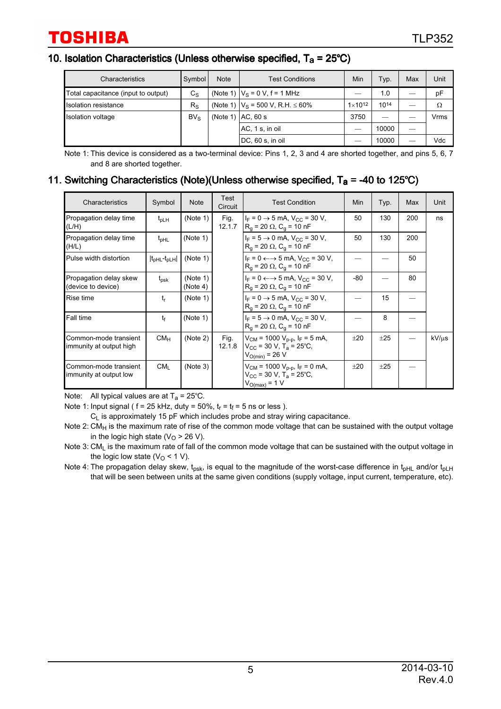#### 10. Isolation Characteristics (Unless otherwise specified,  $T_a = 25^{\circ}C$ )

| Characteristics                     | Symbol          | <b>Note</b> | <b>Test Conditions</b>                     | Min                | Typ.  | Max | Unit |
|-------------------------------------|-----------------|-------------|--------------------------------------------|--------------------|-------|-----|------|
| Total capacitance (input to output) | $C_{\rm S}$     |             | (Note 1) $ V_S = 0 V$ , f = 1 MHz          |                    | 1.0   |     | рF   |
| Isolation resistance                | $R_{\rm S}$     |             | (Note 1) $ V_S = 500 V$ , R.H. $\leq 60\%$ | $1 \times 10^{12}$ | 1014  |     | Ω    |
| Isolation voltage                   | BV <sub>S</sub> |             | $(Note 1)$ $AC. 60 s$                      | 3750               |       |     | Vrms |
|                                     |                 |             | AC, 1 s, in oil                            |                    | 10000 |     |      |
|                                     |                 |             | DC, 60 s, in oil                           |                    | 10000 |     | Vdc  |

Note 1: This device is considered as a two-terminal device: Pins 1, 2, 3 and 4 are shorted together, and pins 5, 6, 7 and 8 are shorted together.

#### 11. Switching Characteristics (Note)(Unless otherwise specified,  $T_a = -40$  to 125°C)

| Characteristics                                  | Symbol                  | <b>Note</b>          | Test<br>Circuit | <b>Test Condition</b>                                                                                                   | Min | Typ.     | Max | Unit       |
|--------------------------------------------------|-------------------------|----------------------|-----------------|-------------------------------------------------------------------------------------------------------------------------|-----|----------|-----|------------|
| Propagation delay time<br>(L/H)                  | $t_{\text{DLH}}$        | (Note 1)             | Fig.<br>12.1.7  | $I_F = 0 \rightarrow 5$ mA, $V_{CC} = 30$ V,<br>$R_a = 20 \Omega$ , C <sub>a</sub> = 10 nF                              | 50  | 130      | 200 | ns         |
| Propagation delay time<br>(H/L)                  | $t_{pHL}$               | (Note 1)             |                 | $I_F = 5 \rightarrow 0$ mA, $V_{CC} = 30$ V,<br>$R_0 = 20 \Omega$ , $C_0 = 10 nF$                                       | 50  | 130      | 200 |            |
| Pulse width distortion                           | $ t_{pHL}$ - $t_{pLH} $ | (Note 1)             |                 | $I_F = 0 \leftrightarrow 5$ mA, $V_{CC} = 30$ V,<br>$R_q = 20 \Omega$ , C <sub>g</sub> = 10 nF                          |     |          | 50  |            |
| Propagation delay skew<br>(device to device)     | $t_{psk}$               | (Note 1)<br>(Note 4) |                 | $I_F = 0 \leftarrow \rightarrow 5 \text{ mA}$ , $V_{CC} = 30 \text{ V}$ ,<br>$R_a = 20 \Omega$ , C <sub>a</sub> = 10 nF | -80 |          | 80  |            |
| Rise time                                        | t,                      | (Note 1)             |                 | $I_F = 0 \rightarrow 5$ mA, $V_{CC} = 30$ V,<br>$R_q = 20 \Omega$ , C <sub>a</sub> = 10 nF                              |     | 15       |     |            |
| Fall time                                        | $t_{\rm f}$             | (Note 1)             |                 | $I_F = 5 \rightarrow 0$ mA, $V_{CC} = 30$ V,<br>$R_a = 20 \Omega$ , C <sub>a</sub> = 10 nF                              |     | 8        |     |            |
| Common-mode transient<br>immunity at output high | CM <sub>H</sub>         | (Note 2)             | Fig.<br>12.1.8  | $V_{CM}$ = 1000 $V_{D-D}$ , I <sub>F</sub> = 5 mA,<br>$V_{CC}$ = 30 V, T <sub>a</sub> = 25°C,<br>$V_{O(min)} = 26 V$    | ±20 | ±25      |     | $kV/\mu s$ |
| Common-mode transient<br>immunity at output low  | CM <sub>1</sub>         | (Note 3)             |                 | $V_{CM}$ = 1000 $V_{p-p}$ , $I_F$ = 0 mA,<br>$V_{CC}$ = 30 V, T <sub>a</sub> = 25°C,<br>$V_{O(max)} = 1 V$              | ±20 | $\pm 25$ |     |            |

Note: All typical values are at  $T_a = 25^{\circ}$ C.

Note 1: Input signal (  $f = 25$  kHz, duty = 50%,  $t_r = t_f = 5$  ns or less ).

 $C_L$  is approximately 15 pF which includes probe and stray wiring capacitance.

Note 2:  $CM_H$  is the maximum rate of rise of the common mode voltage that can be sustained with the output voltage in the logic high state ( $V<sub>O</sub>$  > 26 V).

Note 3: CM<sub>L</sub> is the maximum rate of fall of the common mode voltage that can be sustained with the output voltage in the logic low state ( $V<sub>O</sub>$  < 1 V).

Note 4: The propagation delay skew,  $t_{\text{osk}}$ , is equal to the magnitude of the worst-case difference in  $t_{\text{bHL}}$  and/or  $t_{\text{bL}}$ that will be seen between units at the same given conditions (supply voltage, input current, temperature, etc).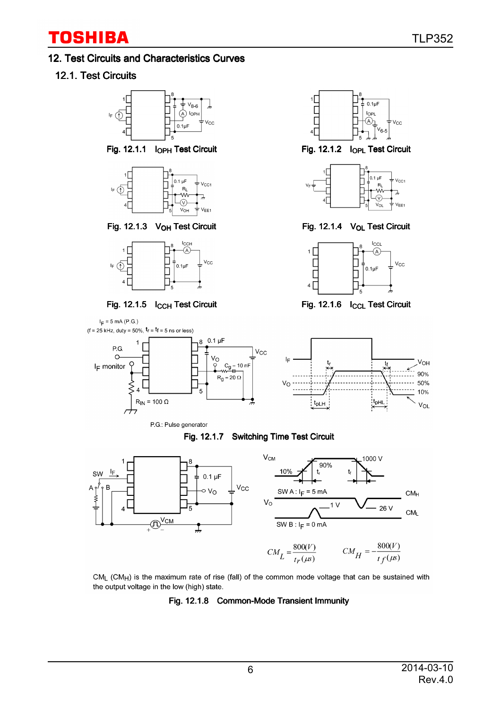#### 12. Test Circuits and Characteristics Curves

### 12.1. Test Circuits







P.G.: Pulse generator

 $I_E = 5$  mA (P.G.)









#### Fig. 12.1.7 Switching Time Test Circuit



 $CM_{\parallel}$  (CM<sub>H</sub>) is the maximum rate of rise (fall) of the common mode voltage that can be sustained with the output voltage in the low (high) state.

#### Fig. 12.1.8 Common-Mode Transient Immunity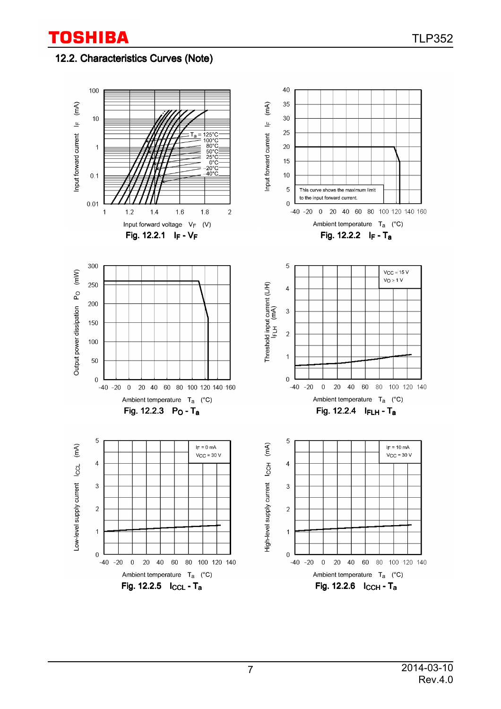### 12.2. Characteristics Curves (Note)

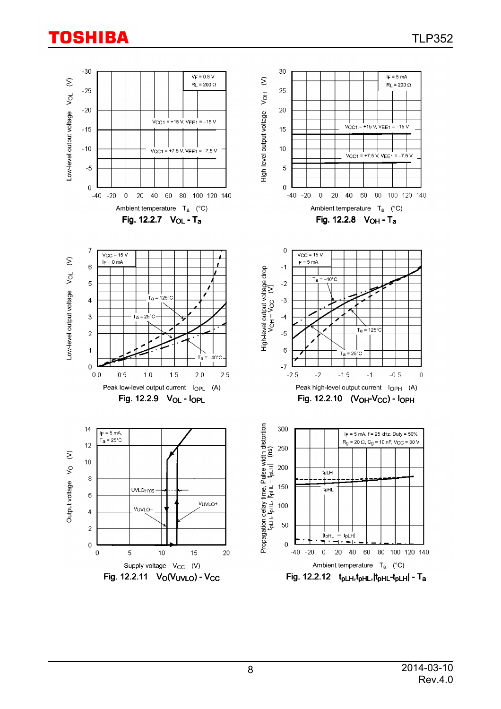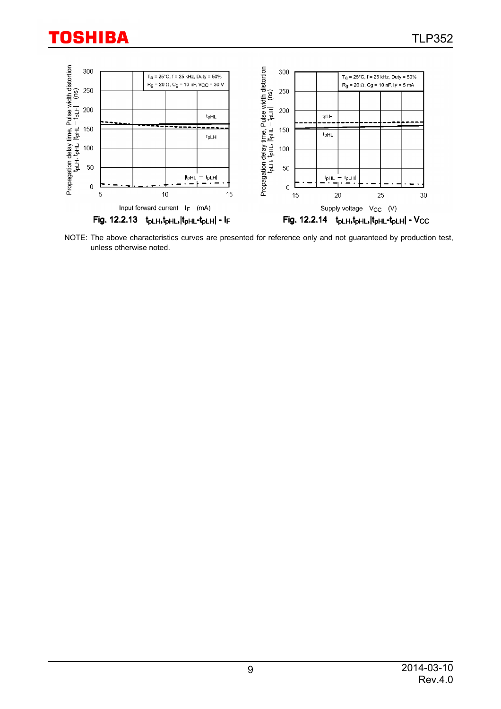

NOTE: The above characteristics curves are presented for reference only and not guaranteed by production test, unless otherwise noted.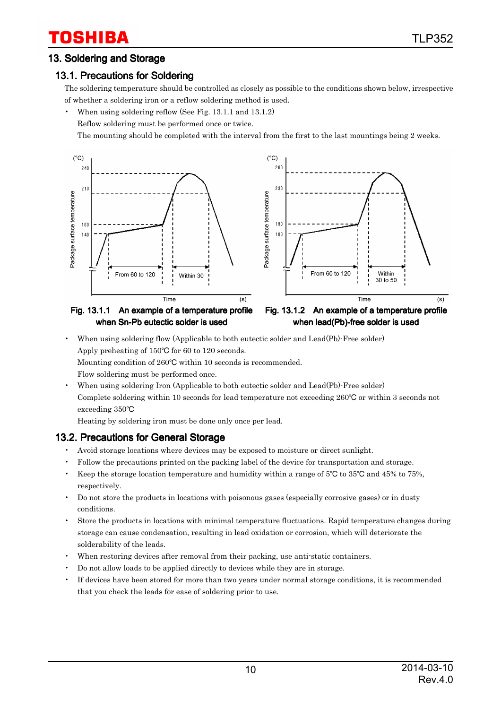### 13. Soldering and Storage

### 13.1. Precautions for Soldering

The soldering temperature should be controlled as closely as possible to the conditions shown below, irrespective of whether a soldering iron or a reflow soldering method is used.

• When using soldering reflow (See Fig. 13.1.1 and 13.1.2)

Reflow soldering must be performed once or twice.

The mounting should be completed with the interval from the first to the last mountings being 2 weeks.



Fig. 13.1.1 An example of a temperature profile when Sn-Pb eutectic solder is used



• When using soldering flow (Applicable to both eutectic solder and Lead(Pb)-Free solder) Apply preheating of  $150^{\circ}$ C for 60 to 120 seconds.

Mounting condition of 260°C within 10 seconds is recommended.

Flow soldering must be performed once.

• When using soldering Iron (Applicable to both eutectic solder and Lead(Pb)-Free solder) Complete soldering within 10 seconds for lead temperature not exceeding  $260^{\circ}$ C or within 3 seconds not exceeding 350

Heating by soldering iron must be done only once per lead.

#### 13.2. Precautions for General Storage

- Avoid storage locations where devices may be exposed to moisture or direct sunlight.
- Follow the precautions printed on the packing label of the device for transportation and storage.
- Keep the storage location temperature and humidity within a range of  $5^{\circ}$ C to  $35^{\circ}$ C and  $45\%$  to  $75\%$ , respectively.
- Do not store the products in locations with poisonous gases (especially corrosive gases) or in dusty conditions.
- Store the products in locations with minimal temperature fluctuations. Rapid temperature changes during storage can cause condensation, resulting in lead oxidation or corrosion, which will deteriorate the solderability of the leads.
- When restoring devices after removal from their packing, use anti-static containers.
- Do not allow loads to be applied directly to devices while they are in storage.
- If devices have been stored for more than two years under normal storage conditions, it is recommended that you check the leads for ease of soldering prior to use.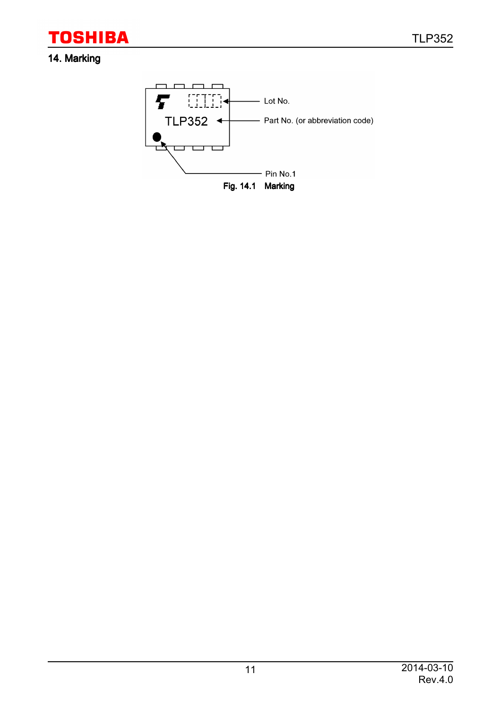TLP352

# **TOSHIBA**

## 14. Marking

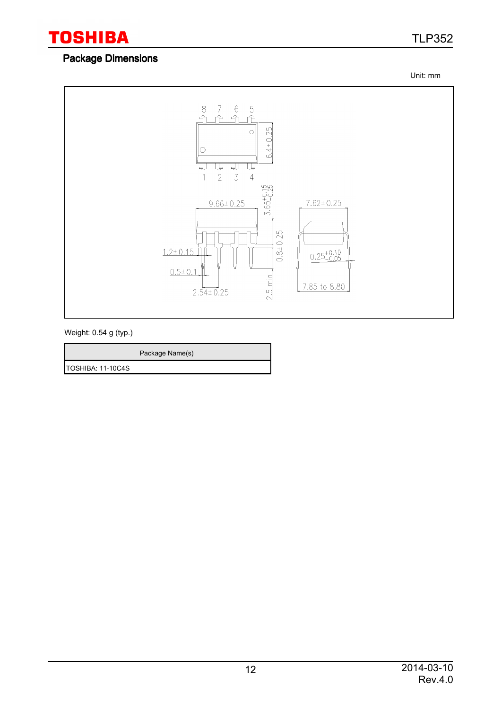

# TLP352

### Package Dimensions

Unit: mm



Weight: 0.54 g (typ.)

|                   | Package Name(s) |
|-------------------|-----------------|
| TOSHIBA: 11-10C4S |                 |